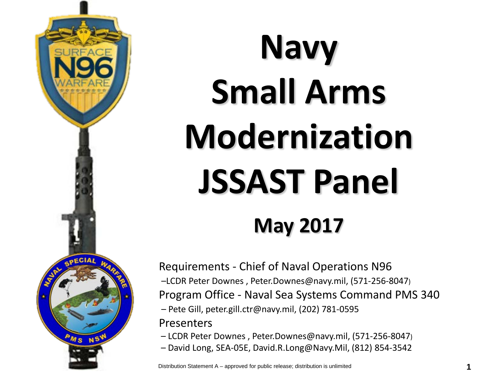

## **Navy Small Arms Modernization JSSAST Panel May 2017**

Requirements - Chief of Naval Operations N96 –LCDR Peter Downes , Peter.Downes@navy.mil, (571-256-8047) Program Office - Naval Sea Systems Command PMS 340 – Pete Gill, peter.gill.ctr@navy.mil, (202) 781-0595 Presenters

– LCDR Peter Downes , Peter.Downes@navy.mil, (571-256-8047)

– David Long, SEA-05E, David.R.Long@Navy.Mil, (812) 854-3542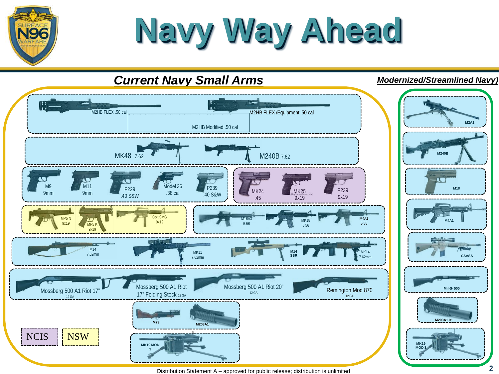**Navy Way Ahead**

**V96** 



Distribution Statement A – approved for public release; distribution is unlimited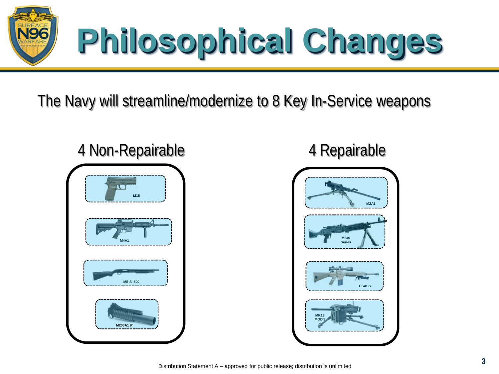

The Navy will streamline/modernize to 8 Key In-Service weapons



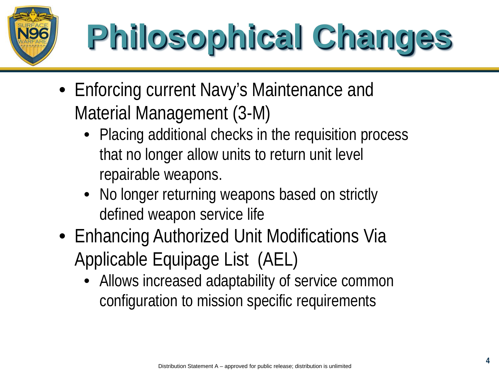

## **Philosophical Changes**

- Enforcing current Navy's Maintenance and Material Management (3-M)
	- Placing additional checks in the requisition process that no longer allow units to return unit level repairable weapons.
	- No longer returning weapons based on strictly defined weapon service life
- Enhancing Authorized Unit Modifications Via Applicable Equipage List (AEL)
	- Allows increased adaptability of service common configuration to mission specific requirements